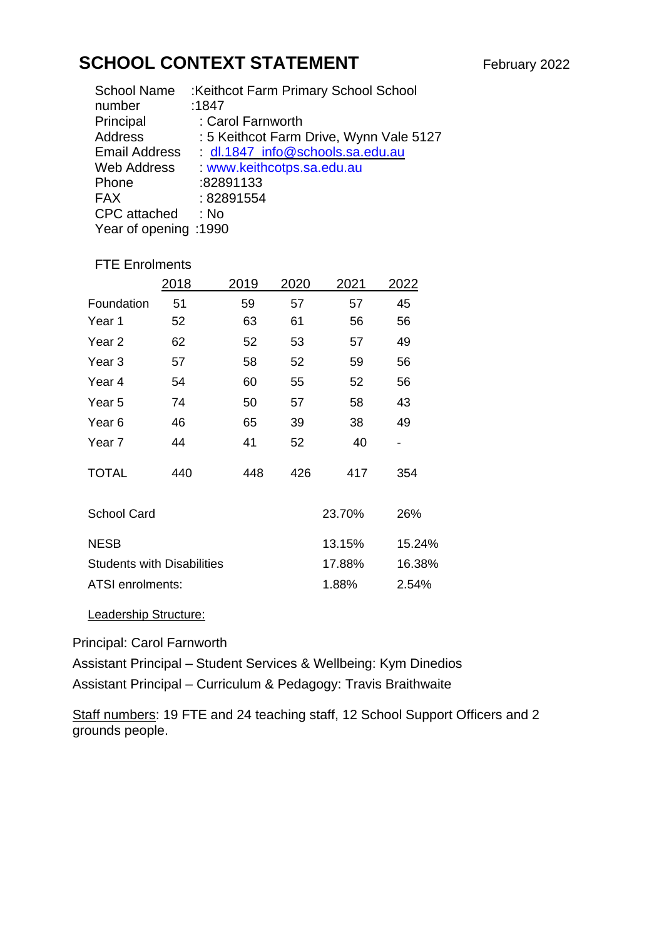## **SCHOOL CONTEXT STATEMENT** February 2022

| <b>School Name</b>    | :Keithcot Farm Primary School School    |  |  |  |
|-----------------------|-----------------------------------------|--|--|--|
| number                | :1847                                   |  |  |  |
| Principal             | : Carol Farnworth                       |  |  |  |
| Address               | : 5 Keithcot Farm Drive, Wynn Vale 5127 |  |  |  |
| <b>Email Address</b>  | dl.1847_info@schools.sa.edu.au          |  |  |  |
| <b>Web Address</b>    | : www.keithcotps.sa.edu.au              |  |  |  |
| Phone                 | :82891133                               |  |  |  |
| <b>FAX</b>            | : 82891554                              |  |  |  |
| <b>CPC</b> attached   | : No                                    |  |  |  |
| Year of opening :1990 |                                         |  |  |  |
|                       |                                         |  |  |  |

## FTE Enrolments

|                                                       |                   | 2018 | 2019 | 2020 | 2021   | 2022   |
|-------------------------------------------------------|-------------------|------|------|------|--------|--------|
|                                                       | Foundation        | 51   | 59   | 57   | 57     | 45     |
|                                                       | Year 1            | 52   | 63   | 61   | 56     | 56     |
|                                                       | Year <sub>2</sub> | 62   | 52   | 53   | 57     | 49     |
|                                                       | Year 3            | 57   | 58   | 52   | 59     | 56     |
|                                                       | Year 4            | 54   | 60   | 55   | 52     | 56     |
|                                                       | Year 5            | 74   | 50   | 57   | 58     | 43     |
|                                                       | Year <sub>6</sub> | 46   | 65   | 39   | 38     | 49     |
|                                                       | Year <sub>7</sub> | 44   | 41   | 52   | 40     |        |
|                                                       | <b>TOTAL</b>      | 440  | 448  | 426  | 417    | 354    |
| <b>School Card</b>                                    |                   |      |      |      | 23.70% | 26%    |
|                                                       | <b>NESB</b>       |      |      |      | 13.15% | 15.24% |
| <b>Students with Disabilities</b><br>ATSI enrolments: |                   |      |      |      | 17.88% | 16.38% |
|                                                       |                   |      |      |      | 1.88%  | 2.54%  |
|                                                       |                   |      |      |      |        |        |

## Leadership Structure:

Principal: Carol Farnworth

Assistant Principal – Student Services & Wellbeing: Kym Dinedios

Assistant Principal – Curriculum & Pedagogy: Travis Braithwaite

Staff numbers: 19 FTE and 24 teaching staff, 12 School Support Officers and 2 grounds people.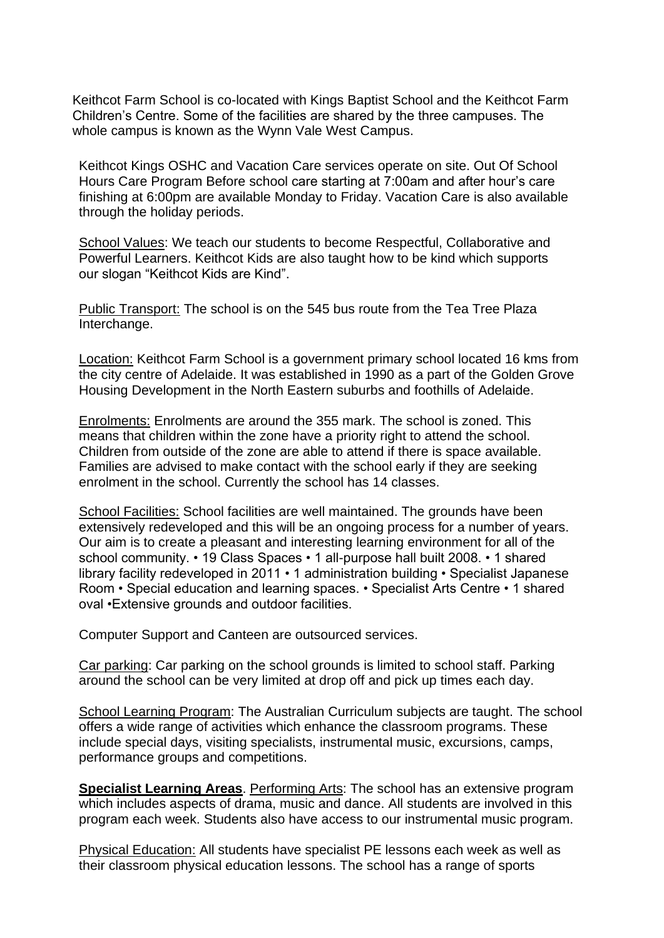Keithcot Farm School is co-located with Kings Baptist School and the Keithcot Farm Children's Centre. Some of the facilities are shared by the three campuses. The whole campus is known as the Wynn Vale West Campus.

Keithcot Kings OSHC and Vacation Care services operate on site. Out Of School Hours Care Program Before school care starting at 7:00am and after hour's care finishing at 6:00pm are available Monday to Friday. Vacation Care is also available through the holiday periods.

School Values: We teach our students to become Respectful, Collaborative and Powerful Learners. Keithcot Kids are also taught how to be kind which supports our slogan "Keithcot Kids are Kind".

Public Transport: The school is on the 545 bus route from the Tea Tree Plaza Interchange.

Location: Keithcot Farm School is a government primary school located 16 kms from the city centre of Adelaide. It was established in 1990 as a part of the Golden Grove Housing Development in the North Eastern suburbs and foothills of Adelaide.

Enrolments: Enrolments are around the 355 mark. The school is zoned. This means that children within the zone have a priority right to attend the school. Children from outside of the zone are able to attend if there is space available. Families are advised to make contact with the school early if they are seeking enrolment in the school. Currently the school has 14 classes.

School Facilities: School facilities are well maintained. The grounds have been extensively redeveloped and this will be an ongoing process for a number of years. Our aim is to create a pleasant and interesting learning environment for all of the school community. • 19 Class Spaces • 1 all-purpose hall built 2008. • 1 shared library facility redeveloped in 2011 • 1 administration building • Specialist Japanese Room • Special education and learning spaces. • Specialist Arts Centre • 1 shared oval •Extensive grounds and outdoor facilities.

Computer Support and Canteen are outsourced services.

Car parking: Car parking on the school grounds is limited to school staff. Parking around the school can be very limited at drop off and pick up times each day.

School Learning Program: The Australian Curriculum subjects are taught. The school offers a wide range of activities which enhance the classroom programs. These include special days, visiting specialists, instrumental music, excursions, camps, performance groups and competitions.

**Specialist Learning Areas**. Performing Arts: The school has an extensive program which includes aspects of drama, music and dance. All students are involved in this program each week. Students also have access to our instrumental music program.

Physical Education: All students have specialist PE lessons each week as well as their classroom physical education lessons. The school has a range of sports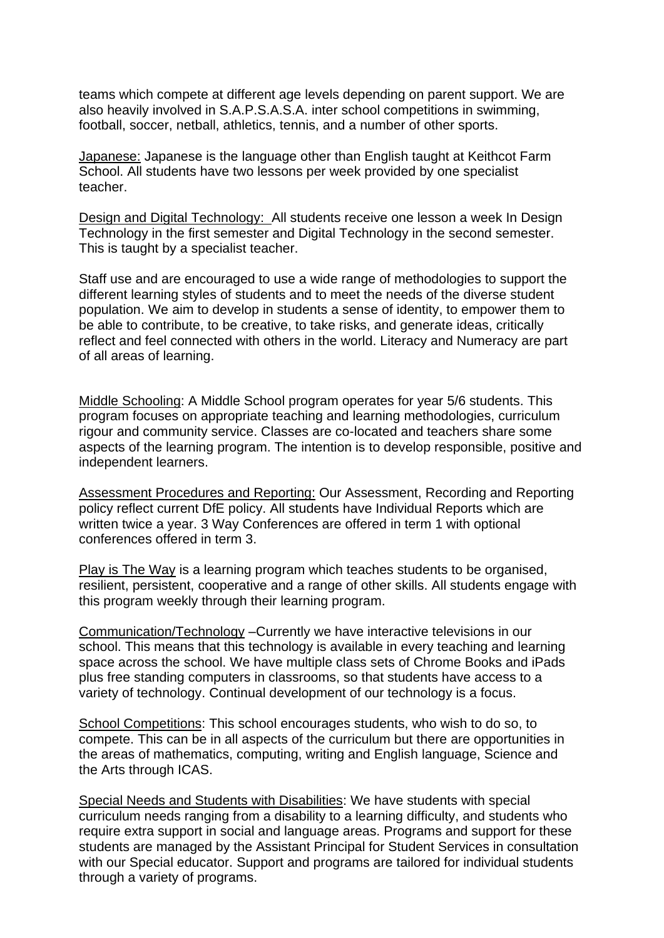teams which compete at different age levels depending on parent support. We are also heavily involved in S.A.P.S.A.S.A. inter school competitions in swimming, football, soccer, netball, athletics, tennis, and a number of other sports.

Japanese: Japanese is the language other than English taught at Keithcot Farm School. All students have two lessons per week provided by one specialist teacher.

Design and Digital Technology: All students receive one lesson a week In Design Technology in the first semester and Digital Technology in the second semester. This is taught by a specialist teacher.

Staff use and are encouraged to use a wide range of methodologies to support the different learning styles of students and to meet the needs of the diverse student population. We aim to develop in students a sense of identity, to empower them to be able to contribute, to be creative, to take risks, and generate ideas, critically reflect and feel connected with others in the world. Literacy and Numeracy are part of all areas of learning.

Middle Schooling: A Middle School program operates for year 5/6 students. This program focuses on appropriate teaching and learning methodologies, curriculum rigour and community service. Classes are co-located and teachers share some aspects of the learning program. The intention is to develop responsible, positive and independent learners.

Assessment Procedures and Reporting: Our Assessment, Recording and Reporting policy reflect current DfE policy. All students have Individual Reports which are written twice a year. 3 Way Conferences are offered in term 1 with optional conferences offered in term 3.

Play is The Way is a learning program which teaches students to be organised, resilient, persistent, cooperative and a range of other skills. All students engage with this program weekly through their learning program.

Communication/Technology –Currently we have interactive televisions in our school. This means that this technology is available in every teaching and learning space across the school. We have multiple class sets of Chrome Books and iPads plus free standing computers in classrooms, so that students have access to a variety of technology. Continual development of our technology is a focus.

School Competitions: This school encourages students, who wish to do so, to compete. This can be in all aspects of the curriculum but there are opportunities in the areas of mathematics, computing, writing and English language, Science and the Arts through ICAS.

Special Needs and Students with Disabilities: We have students with special curriculum needs ranging from a disability to a learning difficulty, and students who require extra support in social and language areas. Programs and support for these students are managed by the Assistant Principal for Student Services in consultation with our Special educator. Support and programs are tailored for individual students through a variety of programs.